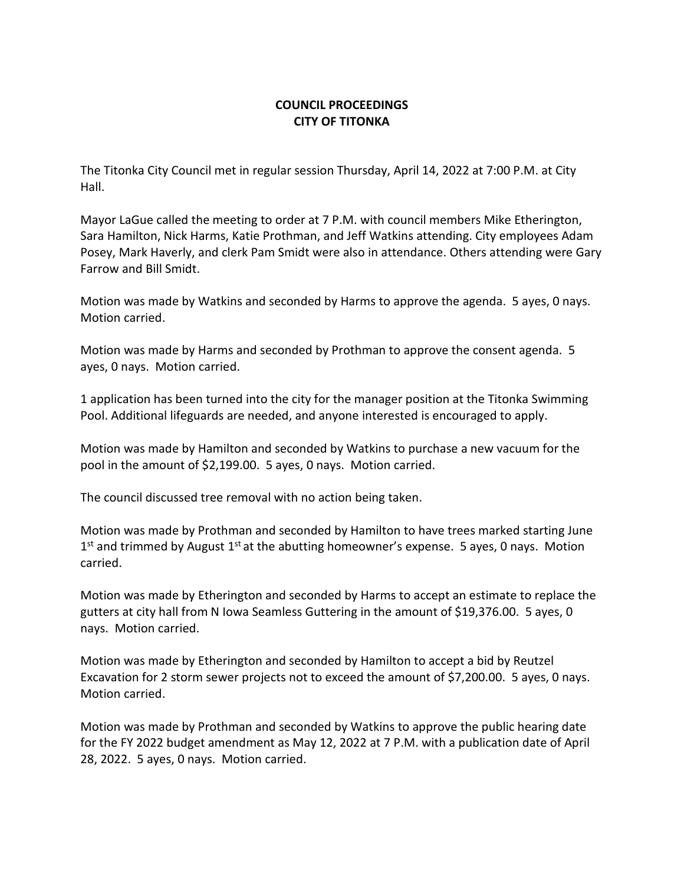## **COUNCIL PROCEEDINGS CITY OF TITONKA**

The Titonka City Council met in regular session Thursday, April 14, 2022 at 7:00 P.M. at City Hall.

Mayor LaGue called the meeting to order at 7 P.M. with council members Mike Etherington, Sara Hamilton, Nick Harms, Katie Prothman, and Jeff Watkins attending. City employees Adam Posey, Mark Haverly, and clerk Pam Smidt were also in attendance. Others attending were Gary Farrow and Bill Smidt.

Motion was made by Watkins and seconded by Harms to approve the agenda. 5 ayes, 0 nays. Motion carried.

Motion was made by Harms and seconded by Prothman to approve the consent agenda. 5 ayes, 0 nays. Motion carried.

1 application has been turned into the city for the manager position at the Titonka Swimming Pool. Additional lifeguards are needed, and anyone interested is encouraged to apply.

Motion was made by Hamilton and seconded by Watkins to purchase a new vacuum for the pool in the amount of \$2,199.00. 5 ayes, 0 nays. Motion carried.

The council discussed tree removal with no action being taken.

Motion was made by Prothman and seconded by Hamilton to have trees marked starting June  $1<sup>st</sup>$  and trimmed by August  $1<sup>st</sup>$  at the abutting homeowner's expense. 5 ayes, 0 nays. Motion carried.

Motion was made by Etherington and seconded by Harms to accept an estimate to replace the gutters at city hall from N Iowa Seamless Guttering in the amount of \$19,376.00. 5 ayes, 0 nays. Motion carried.

Motion was made by Etherington and seconded by Hamilton to accept a bid by Reutzel Excavation for 2 storm sewer projects not to exceed the amount of \$7,200.00. 5 ayes, 0 nays. Motion carried.

Motion was made by Prothman and seconded by Watkins to approve the public hearing date for the FY 2022 budget amendment as May 12, 2022 at 7 P.M. with a publication date of April 28, 2022. 5 ayes, 0 nays. Motion carried.